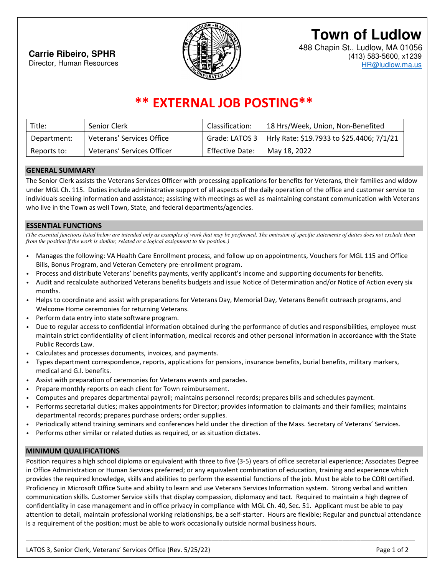

# **Town of Ludlow**

488 Chapin St., Ludlow, MA 01056 (413) 583-5600, x1239 HR@ludlow.ma.us

### **\*\* EXTERNAL JOB POSTING\*\***

| Title:      | Senior Clerk               | Classification: | 18 Hrs/Week, Union, Non-Benefited                          |
|-------------|----------------------------|-----------------|------------------------------------------------------------|
| Department: | Veterans' Services Office  |                 | Grade: LATOS 3   Hrly Rate: \$19.7933 to \$25.4406; 7/1/21 |
| Reports to: | Veterans' Services Officer | Effective Date: | May 18, 2022                                               |

#### **GENERAL SUMMARY**

The Senior Clerk assists the Veterans Services Officer with processing applications for benefits for Veterans, their families and widow under MGL Ch. 115. Duties include administrative support of all aspects of the daily operation of the office and customer service to individuals seeking information and assistance; assisting with meetings as well as maintaining constant communication with Veterans who live in the Town as well Town, State, and federal departments/agencies.

#### **ESSENTIAL FUNCTIONS**

*(The essential functions listed below are intended only as examples of work that may be performed. The omission of specific statements of duties does not exclude them from the position if the work is similar, related or a logical assignment to the position.*)

- Manages the following: VA Health Care Enrollment process, and follow up on appointments, Vouchers for MGL 115 and Office Bills, Bonus Program, and Veteran Cemetery pre-enrollment program.
- Process and distribute Veterans' benefits payments, verify applicant's income and supporting documents for benefits.
- Audit and recalculate authorized Veterans benefits budgets and issue Notice of Determination and/or Notice of Action every six months.
- Helps to coordinate and assist with preparations for Veterans Day, Memorial Day, Veterans Benefit outreach programs, and Welcome Home ceremonies for returning Veterans.
- Perform data entry into state software program.
- Due to regular access to confidential information obtained during the performance of duties and responsibilities, employee must maintain strict confidentiality of client information, medical records and other personal information in accordance with the State Public Records Law.
- Calculates and processes documents, invoices, and payments.
- Types department correspondence, reports, applications for pensions, insurance benefits, burial benefits, military markers, medical and G.I. benefits.
- Assist with preparation of ceremonies for Veterans events and parades.
- Prepare monthly reports on each client for Town reimbursement.
- Computes and prepares departmental payroll; maintains personnel records; prepares bills and schedules payment.
- Performs secretarial duties; makes appointments for Director; provides information to claimants and their families; maintains departmental records; prepares purchase orders; order supplies.
- Periodically attend training seminars and conferences held under the direction of the Mass. Secretary of Veterans' Services.
- Performs other similar or related duties as required, or as situation dictates.

#### **MINIMUM QUALIFICATIONS**

Position requires a high school diploma or equivalent with three to five (3-5) years of office secretarial experience; Associates Degree in Office Administration or Human Services preferred; or any equivalent combination of education, training and experience which provides the required knowledge, skills and abilities to perform the essential functions of the job. Must be able to be CORI certified. Proficiency in Microsoft Office Suite and ability to learn and use Veterans Services Information system. Strong verbal and written communication skills. Customer Service skills that display compassion, diplomacy and tact. Required to maintain a high degree of confidentiality in case management and in office privacy in compliance with MGL Ch. 40, Sec. 51. Applicant must be able to pay attention to detail, maintain professional working relationships, be a self-starter. Hours are flexible; Regular and punctual attendance is a requirement of the position; must be able to work occasionally outside normal business hours.